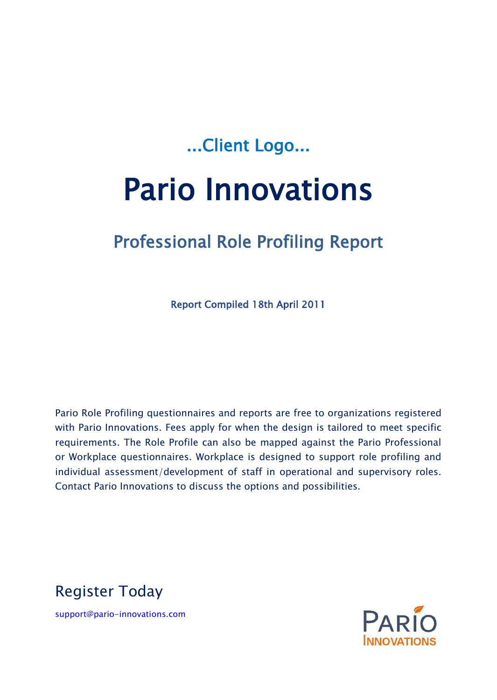# ...Client Logo...

# Pario Innovations

# Professional Role Profiling Report

Report Compiled 18th April 2011

Pario Role Profiling questionnaires and reports are free to organizations registered with Pario Innovations. Fees apply for when the design is tailored to meet specific requirements. The Role Profile can also be mapped against the Pario Professional or Workplace questionnaires. Workplace is designed to support role profiling and individual assessment/development of staff in operational and supervisory roles. Contact Pario Innovations to discuss the options and possibilities.

Register Today

support@pario-innovations.com

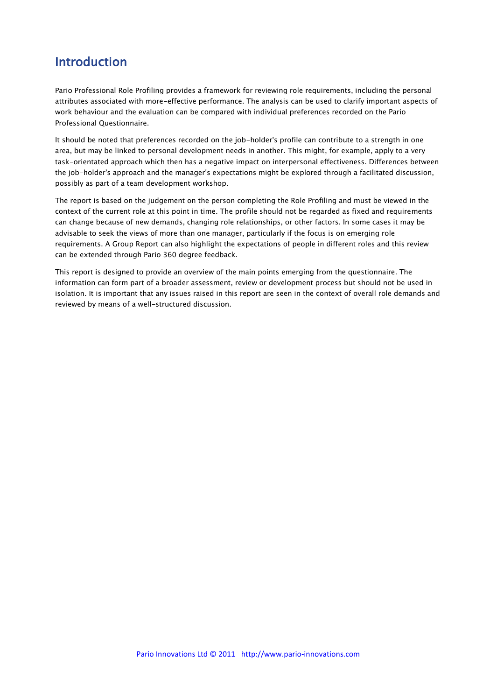### Introduction

Pario Professional Role Profiling provides a framework for reviewing role requirements, including the personal attributes associated with more-effective performance. The analysis can be used to clarify important aspects of work behaviour and the evaluation can be compared with individual preferences recorded on the Pario Professional Questionnaire.

It should be noted that preferences recorded on the job-holder's profile can contribute to a strength in one area, but may be linked to personal development needs in another. This might, for example, apply to a very task-orientated approach which then has a negative impact on interpersonal effectiveness. Differences between the job-holder's approach and the manager's expectations might be explored through a facilitated discussion, possibly as part of a team development workshop.

The report is based on the judgement on the person completing the Role Profiling and must be viewed in the context of the current role at this point in time. The profile should not be regarded as fixed and requirements can change because of new demands, changing role relationships, or other factors. In some cases it may be advisable to seek the views of more than one manager, particularly if the focus is on emerging role requirements. A Group Report can also highlight the expectations of people in different roles and this review can be extended through Pario 360 degree feedback.

This report is designed to provide an overview of the main points emerging from the questionnaire. The information can form part of a broader assessment, review or development process but should not be used in isolation. It is important that any issues raised in this report are seen in the context of overall role demands and reviewed by means of a well-structured discussion.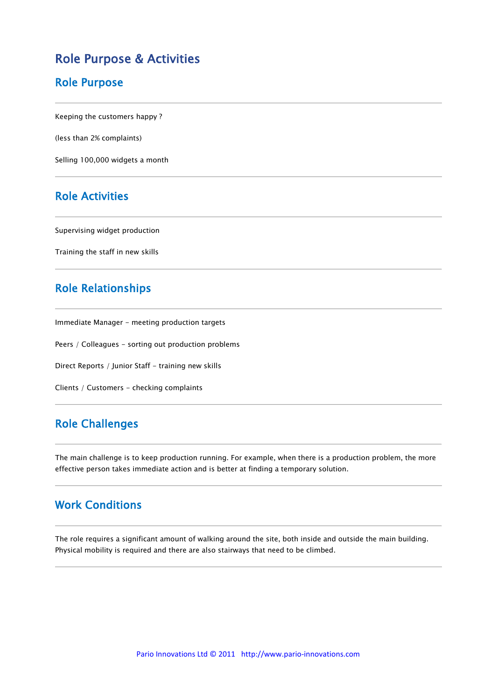#### Role Purpose & Activities

#### Role Purpose

Keeping the customers happy ?

(less than 2% complaints)

Selling 100,000 widgets a month

#### Role Activities

Supervising widget production

Training the staff in new skills

#### Role Relationships

Immediate Manager - meeting production targets

Peers / Colleagues - sorting out production problems

Direct Reports / Junior Staff - training new skills

Clients / Customers - checking complaints

#### Role Challenges

The main challenge is to keep production running. For example, when there is a production problem, the more effective person takes immediate action and is better at finding a temporary solution.

#### Work Conditions

The role requires a significant amount of walking around the site, both inside and outside the main building. Physical mobility is required and there are also stairways that need to be climbed.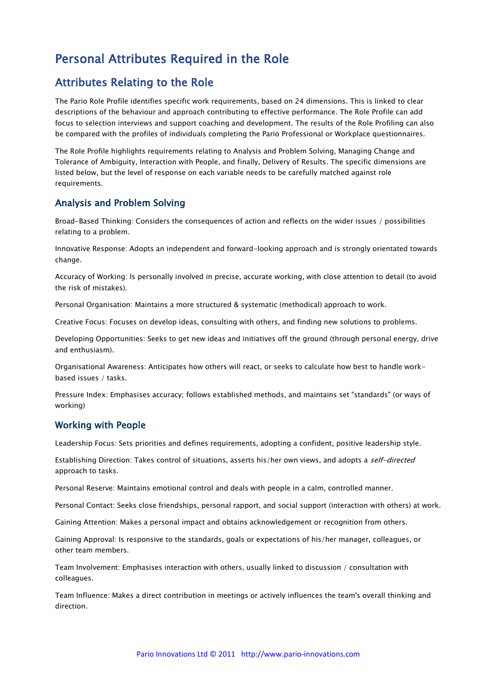### Personal Attributes Required in the Role

#### Attributes Relating to the Role

The Pario Role Profile identifies specific work requirements, based on 24 dimensions. This is linked to clear descriptions of the behaviour and approach contributing to effective performance. The Role Profile can add focus to selection interviews and support coaching and development. The results of the Role Profiling can also be compared with the profiles of individuals completing the Pario Professional or Workplace questionnaires.

The Role Profile highlights requirements relating to Analysis and Problem Solving, Managing Change and Tolerance of Ambiguity, Interaction with People, and finally, Delivery of Results. The specific dimensions are listed below, but the level of response on each variable needs to be carefully matched against role requirements.

#### Analysis and Problem Solving

Broad-Based Thinking: Considers the consequences of action and reflects on the wider issues / possibilities relating to a problem.

Innovative Response: Adopts an independent and forward-looking approach and is strongly orientated towards change.

Accuracy of Working: Is personally involved in precise, accurate working, with close attention to detail (to avoid the risk of mistakes).

Personal Organisation: Maintains a more structured & systematic (methodical) approach to work.

Creative Focus: Focuses on develop ideas, consulting with others, and finding new solutions to problems.

Developing Opportunities: Seeks to get new ideas and initiatives off the ground (through personal energy, drive and enthusiasm).

Organisational Awareness: Anticipates how others will react, or seeks to calculate how best to handle workbased issues / tasks.

Pressure Index: Emphasises accuracy; follows established methods, and maintains set "standards" (or ways of working)

#### Working with People

Leadership Focus: Sets priorities and defines requirements, adopting a confident, positive leadership style.

Establishing Direction: Takes control of situations, asserts his/her own views, and adopts a self-directed approach to tasks.

Personal Reserve: Maintains emotional control and deals with people in a calm, controlled manner.

Personal Contact: Seeks close friendships, personal rapport, and social support (interaction with others) at work.

Gaining Attention: Makes a personal impact and obtains acknowledgement or recognition from others.

Gaining Approval: Is responsive to the standards, goals or expectations of his/her manager, colleagues, or other team members.

Team Involvement: Emphasises interaction with others, usually linked to discussion / consultation with colleagues.

Team Influence: Makes a direct contribution in meetings or actively influences the team's overall thinking and direction.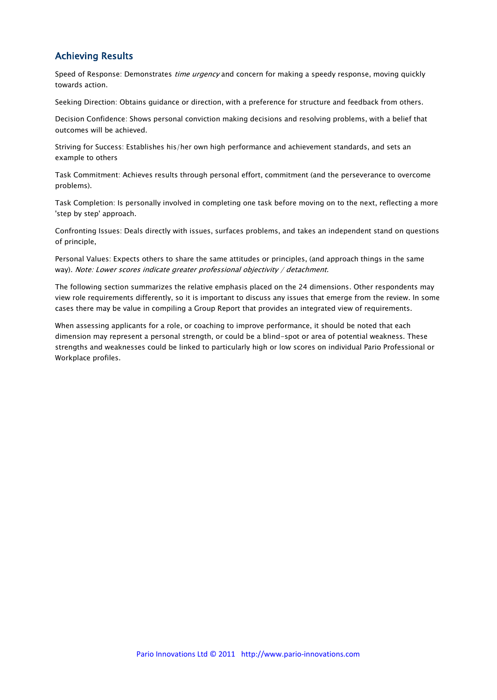#### Achieving Results

Speed of Response: Demonstrates time urgency and concern for making a speedy response, moving quickly towards action.

Seeking Direction: Obtains guidance or direction, with a preference for structure and feedback from others.

Decision Confidence: Shows personal conviction making decisions and resolving problems, with a belief that outcomes will be achieved.

Striving for Success: Establishes his/her own high performance and achievement standards, and sets an example to others

Task Commitment: Achieves results through personal effort, commitment (and the perseverance to overcome problems).

Task Completion: Is personally involved in completing one task before moving on to the next, reflecting a more 'step by step' approach.

Confronting Issues: Deals directly with issues, surfaces problems, and takes an independent stand on questions of principle,

Personal Values: Expects others to share the same attitudes or principles, (and approach things in the same way). Note: Lower scores indicate greater professional objectivity / detachment.

The following section summarizes the relative emphasis placed on the 24 dimensions. Other respondents may view role requirements differently, so it is important to discuss any issues that emerge from the review. In some cases there may be value in compiling a Group Report that provides an integrated view of requirements.

When assessing applicants for a role, or coaching to improve performance, it should be noted that each dimension may represent a personal strength, or could be a blind-spot or area of potential weakness. These strengths and weaknesses could be linked to particularly high or low scores on individual Pario Professional or Workplace profiles.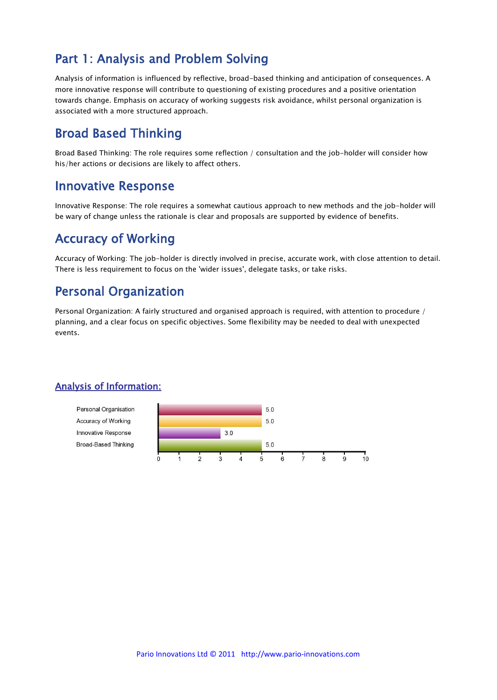### Part 1: Analysis and Problem Solving

Analysis of information is influenced by reflective, broad-based thinking and anticipation of consequences. A more innovative response will contribute to questioning of existing procedures and a positive orientation towards change. Emphasis on accuracy of working suggests risk avoidance, whilst personal organization is associated with a more structured approach.

#### Broad Based Thinking

Broad Based Thinking: The role requires some reflection / consultation and the job-holder will consider how his/her actions or decisions are likely to affect others.

#### Innovative Response

Innovative Response: The role requires a somewhat cautious approach to new methods and the job-holder will be wary of change unless the rationale is clear and proposals are supported by evidence of benefits.

### Accuracy of Working

Accuracy of Working: The job-holder is directly involved in precise, accurate work, with close attention to detail. There is less requirement to focus on the 'wider issues', delegate tasks, or take risks.

### Personal Organization

Personal Organization: A fairly structured and organised approach is required, with attention to procedure / planning, and a clear focus on specific objectives. Some flexibility may be needed to deal with unexpected events.

#### Analysis of Information:

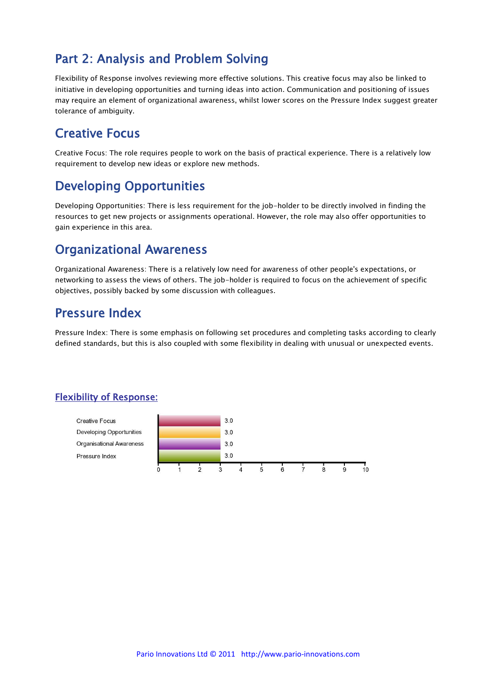### Part 2: Analysis and Problem Solving

Flexibility of Response involves reviewing more effective solutions. This creative focus may also be linked to initiative in developing opportunities and turning ideas into action. Communication and positioning of issues may require an element of organizational awareness, whilst lower scores on the Pressure Index suggest greater tolerance of ambiguity.

#### Creative Focus

Creative Focus: The role requires people to work on the basis of practical experience. There is a relatively low requirement to develop new ideas or explore new methods.

#### Developing Opportunities

Developing Opportunities: There is less requirement for the job-holder to be directly involved in finding the resources to get new projects or assignments operational. However, the role may also offer opportunities to gain experience in this area.

#### Organizational Awareness

Organizational Awareness: There is a relatively low need for awareness of other people's expectations, or networking to assess the views of others. The job-holder is required to focus on the achievement of specific objectives, possibly backed by some discussion with colleagues.

#### Pressure Index

Pressure Index: There is some emphasis on following set procedures and completing tasks according to clearly defined standards, but this is also coupled with some flexibility in dealing with unusual or unexpected events.

#### Flexibility of Response:

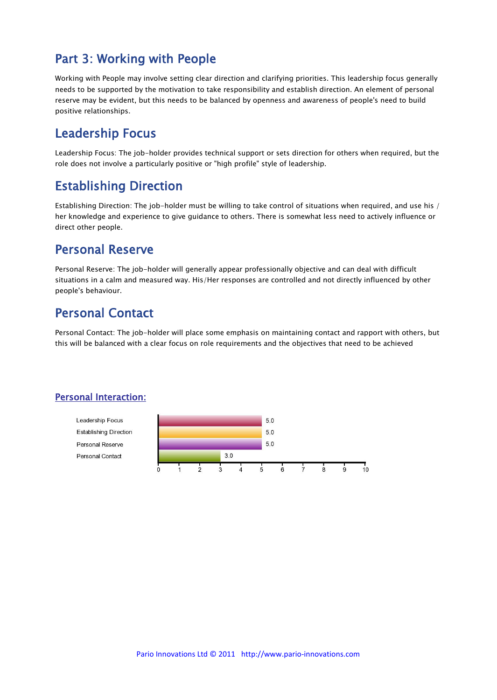### Part 3: Working with People

Working with People may involve setting clear direction and clarifying priorities. This leadership focus generally needs to be supported by the motivation to take responsibility and establish direction. An element of personal reserve may be evident, but this needs to be balanced by openness and awareness of people's need to build positive relationships.

### Leadership Focus

Leadership Focus: The job-holder provides technical support or sets direction for others when required, but the role does not involve a particularly positive or "high profile" style of leadership.

### Establishing Direction

Establishing Direction: The job-holder must be willing to take control of situations when required, and use his / her knowledge and experience to give guidance to others. There is somewhat less need to actively influence or direct other people.

#### Personal Reserve

Personal Reserve: The job-holder will generally appear professionally objective and can deal with difficult situations in a calm and measured way. His/Her responses are controlled and not directly influenced by other people's behaviour.

### Personal Contact

Personal Contact: The job-holder will place some emphasis on maintaining contact and rapport with others, but this will be balanced with a clear focus on role requirements and the objectives that need to be achieved

#### Personal Interaction:

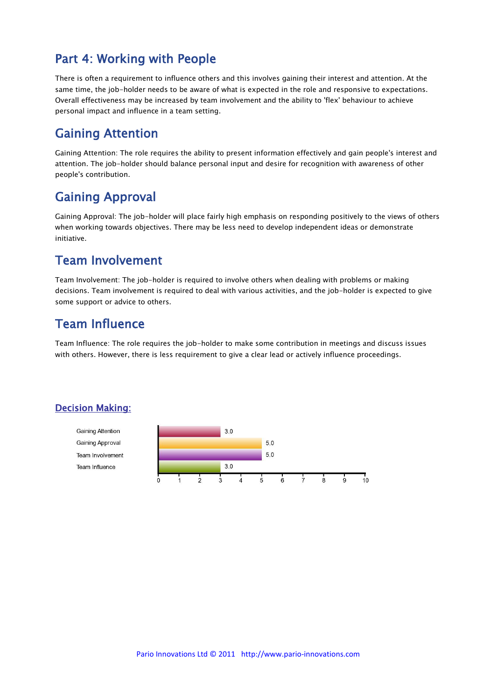### Part 4: Working with People

There is often a requirement to influence others and this involves gaining their interest and attention. At the same time, the job-holder needs to be aware of what is expected in the role and responsive to expectations. Overall effectiveness may be increased by team involvement and the ability to 'flex' behaviour to achieve personal impact and influence in a team setting.

### Gaining Attention

Gaining Attention: The role requires the ability to present information effectively and gain people's interest and attention. The job-holder should balance personal input and desire for recognition with awareness of other people's contribution.

### Gaining Approval

Gaining Approval: The job-holder will place fairly high emphasis on responding positively to the views of others when working towards objectives. There may be less need to develop independent ideas or demonstrate initiative.

### Team Involvement

Team Involvement: The job-holder is required to involve others when dealing with problems or making decisions. Team involvement is required to deal with various activities, and the job-holder is expected to give some support or advice to others.

### Team Influence

Team Influence: The role requires the job-holder to make some contribution in meetings and discuss issues with others. However, there is less requirement to give a clear lead or actively influence proceedings.

#### Decision Making:

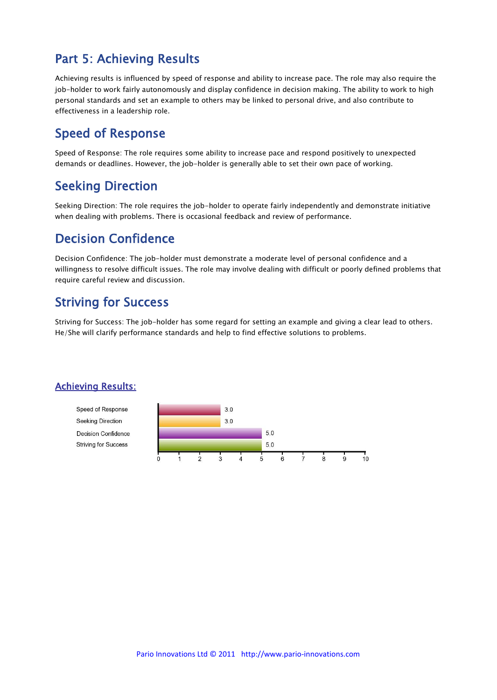### Part 5: Achieving Results

Achieving results is influenced by speed of response and ability to increase pace. The role may also require the job-holder to work fairly autonomously and display confidence in decision making. The ability to work to high personal standards and set an example to others may be linked to personal drive, and also contribute to effectiveness in a leadership role.

#### Speed of Response

Speed of Response: The role requires some ability to increase pace and respond positively to unexpected demands or deadlines. However, the job-holder is generally able to set their own pace of working.

### Seeking Direction

Seeking Direction: The role requires the job-holder to operate fairly independently and demonstrate initiative when dealing with problems. There is occasional feedback and review of performance.

### Decision Confidence

Decision Confidence: The job-holder must demonstrate a moderate level of personal confidence and a willingness to resolve difficult issues. The role may involve dealing with difficult or poorly defined problems that require careful review and discussion.

### Striving for Success

Striving for Success: The job-holder has some regard for setting an example and giving a clear lead to others. He/She will clarify performance standards and help to find effective solutions to problems.

#### Achieving Results:

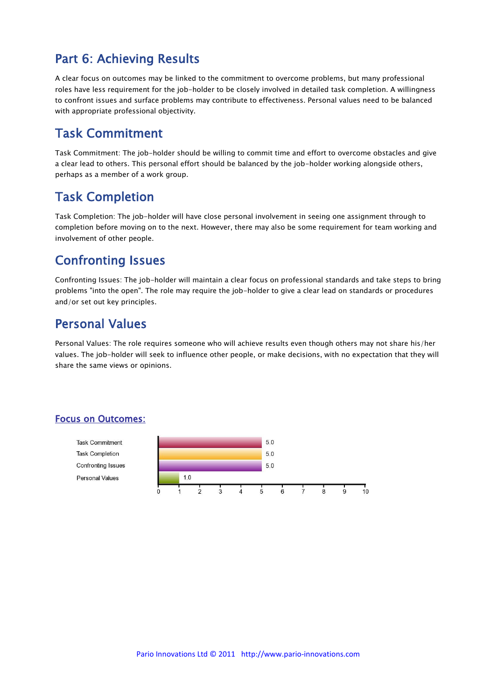### Part 6: Achieving Results

A clear focus on outcomes may be linked to the commitment to overcome problems, but many professional roles have less requirement for the job-holder to be closely involved in detailed task completion. A willingness to confront issues and surface problems may contribute to effectiveness. Personal values need to be balanced with appropriate professional objectivity.

### Task Commitment

Task Commitment: The job-holder should be willing to commit time and effort to overcome obstacles and give a clear lead to others. This personal effort should be balanced by the job-holder working alongside others, perhaps as a member of a work group.

### Task Completion

Task Completion: The job-holder will have close personal involvement in seeing one assignment through to completion before moving on to the next. However, there may also be some requirement for team working and involvement of other people.

### Confronting Issues

Confronting Issues: The job-holder will maintain a clear focus on professional standards and take steps to bring problems "into the open". The role may require the job-holder to give a clear lead on standards or procedures and/or set out key principles.

### Personal Values

Personal Values: The role requires someone who will achieve results even though others may not share his/her values. The job-holder will seek to influence other people, or make decisions, with no expectation that they will share the same views or opinions.

#### Focus on Outcomes:

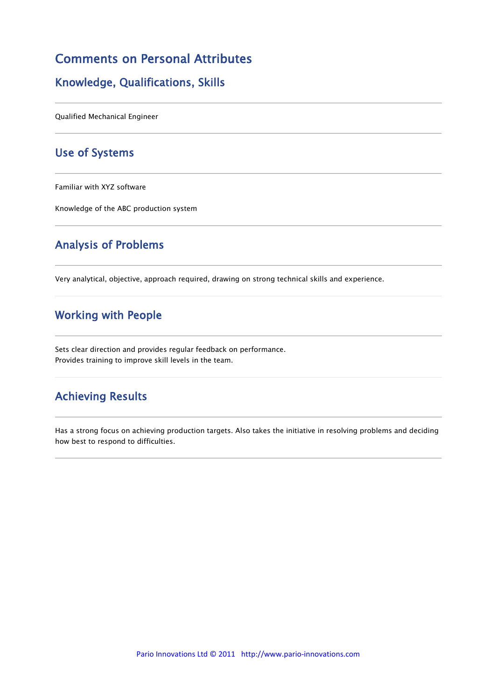#### Comments on Personal Attributes

#### Knowledge, Qualifications, Skills

Qualified Mechanical Engineer

#### Use of Systems

Familiar with XYZ software

Knowledge of the ABC production system

#### Analysis of Problems

Very analytical, objective, approach required, drawing on strong technical skills and experience.

#### Working with People

Sets clear direction and provides regular feedback on performance. Provides training to improve skill levels in the team.

#### Achieving Results

Has a strong focus on achieving production targets. Also takes the initiative in resolving problems and deciding how best to respond to difficulties.